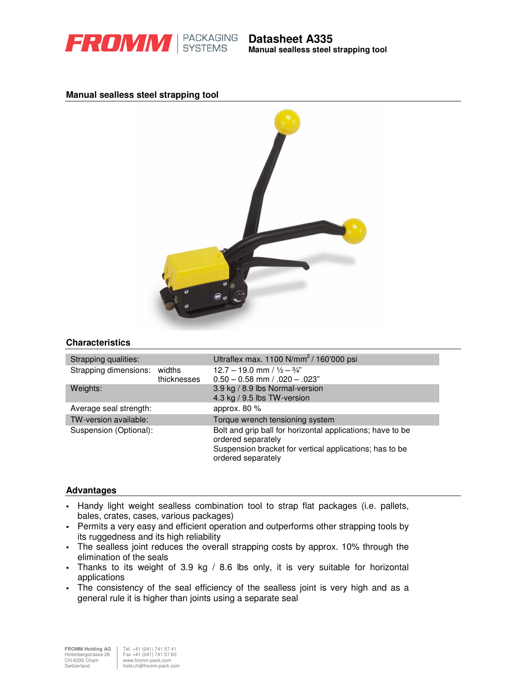

**Manual sealless steel strapping tool**

### **Manual sealless steel strapping tool**



### **Characteristics**

| Strapping qualities:         |             | Ultraflex max. 1100 $N/mm^2/160'000$ psi                                                                                                                          |
|------------------------------|-------------|-------------------------------------------------------------------------------------------------------------------------------------------------------------------|
| Strapping dimensions: widths | thicknesses | 12.7 – 19.0 mm / $\frac{1}{2} - \frac{3}{4}$ "<br>$0.50 - 0.58$ mm $/ .020 - .023$ "                                                                              |
| Weights:                     |             | 3.9 kg / 8.9 lbs Normal-version<br>4.3 kg / 9.5 lbs TW-version                                                                                                    |
| Average seal strength:       |             | approx. 80 %                                                                                                                                                      |
| TW-version available:        |             | Torque wrench tensioning system                                                                                                                                   |
| Suspension (Optional):       |             | Bolt and grip ball for horizontal applications; have to be<br>ordered separately<br>Suspension bracket for vertical applications; has to be<br>ordered separately |

### **Advantages**

- Handy light weight sealless combination tool to strap flat packages (i.e. pallets, bales, crates, cases, various packages)
- Permits a very easy and efficient operation and outperforms other strapping tools by its ruggedness and its high reliability
- The sealless joint reduces the overall strapping costs by approx. 10% through the elimination of the seals
- Thanks to its weight of 3.9 kg / 8.6 lbs only, it is very suitable for horizontal applications
- The consistency of the seal efficiency of the sealless joint is very high and as a general rule it is higher than joints using a separate seal